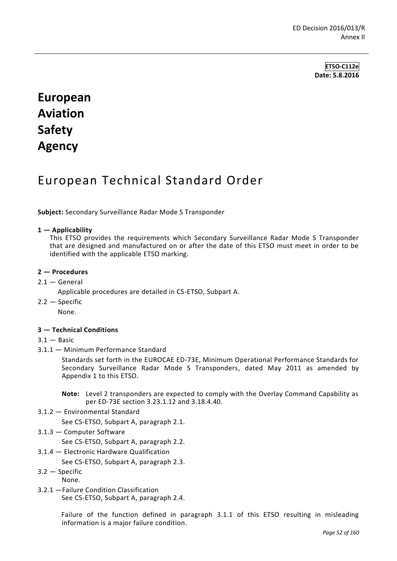**ETSO-C112e Date: 5.8.2016**

# **European Aviation Safety Agency**

## European Technical Standard Order

**Subject:** Secondary Surveillance Radar Mode S Transponder

#### **1 — Applicability**

This ETSO provides the requirements which Secondary Surveillance Radar Mode S Transponder that are designed and manufactured on or after the date of this ETSO must meet in order to be identified with the applicable ETSO marking.

#### **2 — Procedures**

- $2.1 -$  General
	- Applicable procedures are detailed in CS-ETSO, Subpart A.
- $2.2 -$ Specific

None.

#### **3 — Technical Conditions**

## $3.1 -$ Basic

3.1.1 — Minimum Performance Standard

Standards set forth in the EUROCAE ED-73E, Minimum Operational Performance Standards for Secondary Surveillance Radar Mode S Transponders, dated May 2011 as amended by Appendix 1 to this ETSO.

**Note:** Level 2 transponders are expected to comply with the Overlay Command Capability as per ED-73E section 3.23.1.12 and 3.18.4.40.

3.1.2 — Environmental Standard

See CS-ETSO, Subpart A, paragraph 2.1.

3.1.3 — Computer Software

See CS-ETSO, Subpart A, paragraph 2.2.

3.1.4 — Electronic Hardware Qualification

See CS-ETSO, Subpart A, paragraph 2.3.

- 3.2 Specific
- None.
- 3.2.1 —Failure Condition Classification See CS-ETSO, Subpart A, paragraph 2.4.

Failure of the function defined in paragraph 3.1.1 of this ETSO resulting in misleading information is a major failure condition.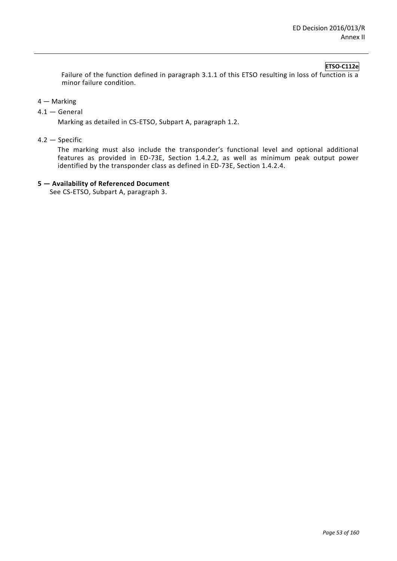## **ETSO-C112e**

Failure of the function defined in paragraph 3.1.1 of this ETSO resulting in loss of function is a minor failure condition.

- 4 Marking
- 4.1 General

Marking as detailed in CS-ETSO, Subpart A, paragraph 1.2.

4.2 — Specific

The marking must also include the transponder's functional level and optional additional features as provided in ED-73E, Section 1.4.2.2, as well as minimum peak output power identified by the transponder class as defined in ED-73E, Section 1.4.2.4.

#### **5 — Availability of Referenced Document**

See CS-ETSO, Subpart A, paragraph 3.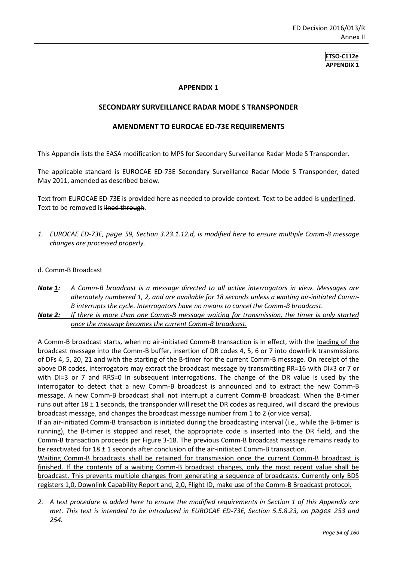**ETSO-C112e APPENDIX 1**

## **APPENDIX 1**

#### **SECONDARY SURVEILLANCE RADAR MODE S TRANSPONDER**

#### **AMENDMENT TO EUROCAE ED-73E REQUIREMENTS**

This Appendix lists the EASA modification to MPS for Secondary Surveillance Radar Mode S Transponder.

The applicable standard is EUROCAE ED-73E Secondary Surveillance Radar Mode S Transponder, dated May 2011, amended as described below.

Text from EUROCAE ED-73E is provided here as needed to provide context. Text to be added is underlined. Text to be removed is lined through.

*1. EUROCAE ED-73E, page 59, Section 3.23.1.12.d, is modified here to ensure multiple Comm-B message changes are processed properly.*

#### d. Comm-B Broadcast

- *Note 1: A Comm-B broadcast is a message directed to all active interrogators in view. Messages are alternately numbered 1, 2, and are available for 18 seconds unless a waiting air-initiated Comm-B interrupts the cycle. Interrogators have no means to cancel the Comm-B broadcast.*
- *Note 2: If there is more than one Comm-B message waiting for transmission, the timer is only started once the message becomes the current Comm-B broadcast.*

A Comm-B broadcast starts, when no air-initiated Comm-B transaction is in effect, with the loading of the broadcast message into the Comm-B buffer, insertion of DR codes 4, 5, 6 or 7 into downlink transmissions of DFs 4, 5, 20, 21 and with the starting of the B-timer for the current Comm-B message. On receipt of the above DR codes, interrogators may extract the broadcast message by transmitting RR=16 with DI≠3 or 7 or with DI=3 or 7 and RRS=0 in subsequent interrogations. The change of the DR value is used by the interrogator to detect that a new Comm-B broadcast is announced and to extract the new Comm-B message. A new Comm-B broadcast shall not interrupt a current Comm-B broadcast. When the B-timer runs out after 18 ± 1 seconds, the transponder will reset the DR codes as required, will discard the previous broadcast message, and changes the broadcast message number from 1 to 2 (or vice versa).

If an air-initiated Comm-B transaction is initiated during the broadcasting interval (i.e., while the B-timer is running), the B-timer is stopped and reset, the appropriate code is inserted into the DR field, and the Comm-B transaction proceeds per Figure 3-18. The previous Comm-B broadcast message remains ready to be reactivated for  $18 \pm 1$  seconds after conclusion of the air-initiated Comm-B transaction.

Waiting Comm-B broadcasts shall be retained for transmission once the current Comm-B broadcast is finished. If the contents of a waiting Comm-B broadcast changes, only the most recent value shall be broadcast. This prevents multiple changes from generating a sequence of broadcasts. Currently only BDS registers 1,0, Downlink Capability Report and, 2,0, Flight ID, make use of the Comm-B Broadcast protocol.

*<sup>2.</sup> A test procedure is added here to ensure the modified requirements in Section 1 of this Appendix are met. This test is intended to be introduced in EUROCAE ED-73E, Section 5.5.8.23, on pages 253 and 254.*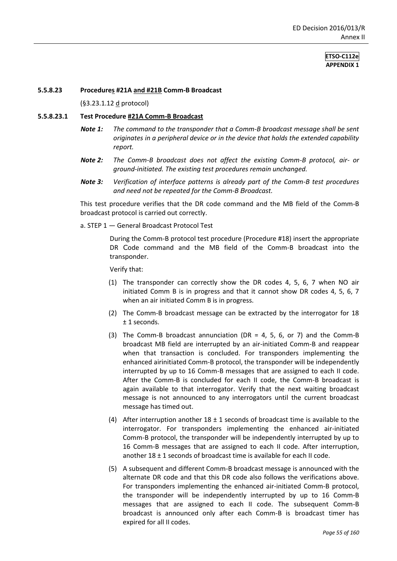#### **ETSO-C112e APPENDIX 1**

#### **5.5.8.23 Procedures #21A and #21B Comm-B Broadcast**

(§3.23.1.12 d protocol)

#### **5.5.8.23.1 Test Procedure #21A Comm-B Broadcast**

- *Note 1: The command to the transponder that a Comm-B broadcast message shall be sent originates in a peripheral device or in the device that holds the extended capability report.*
- *Note 2: The Comm-B broadcast does not affect the existing Comm-B protocol, air- or ground-initiated. The existing test procedures remain unchanged.*
- *Note 3: Verification of interface patterns is already part of the Comm-B test procedures and need not be repeated for the Comm-B Broadcast.*

This test procedure verifies that the DR code command and the MB field of the Comm-B broadcast protocol is carried out correctly.

a. STEP 1 — General Broadcast Protocol Test

During the Comm-B protocol test procedure (Procedure #18) insert the appropriate DR Code command and the MB field of the Comm-B broadcast into the transponder.

Verify that:

- (1) The transponder can correctly show the DR codes 4, 5, 6, 7 when NO air initiated Comm B is in progress and that it cannot show DR codes 4, 5, 6, 7 when an air initiated Comm B is in progress.
- (2) The Comm-B broadcast message can be extracted by the interrogator for 18 ± 1 seconds.
- (3) The Comm-B broadcast annunciation (DR = 4, 5, 6, or 7) and the Comm-B broadcast MB field are interrupted by an air-initiated Comm-B and reappear when that transaction is concluded. For transponders implementing the enhanced airinitiated Comm-B protocol, the transponder will be independently interrupted by up to 16 Comm-B messages that are assigned to each II code. After the Comm-B is concluded for each II code, the Comm-B broadcast is again available to that interrogator. Verify that the next waiting broadcast message is not announced to any interrogators until the current broadcast message has timed out.
- (4) After interruption another  $18 \pm 1$  seconds of broadcast time is available to the interrogator. For transponders implementing the enhanced air-initiated Comm-B protocol, the transponder will be independently interrupted by up to 16 Comm-B messages that are assigned to each II code. After interruption, another  $18 \pm 1$  seconds of broadcast time is available for each II code.
- (5) A subsequent and different Comm-B broadcast message is announced with the alternate DR code and that this DR code also follows the verifications above. For transponders implementing the enhanced air-initiated Comm-B protocol, the transponder will be independently interrupted by up to 16 Comm-B messages that are assigned to each II code. The subsequent Comm-B broadcast is announced only after each Comm-B is broadcast timer has expired for all II codes.